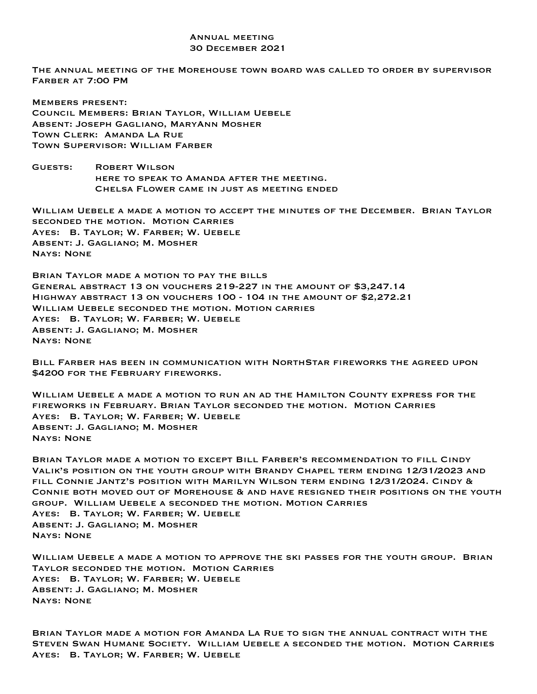## Annual meeting 30 December 2021

The annual meeting of the Morehouse town board was called to order by supervisor Farber at 7:00 PM

Members present: Council Members: Brian Taylor, William Uebele Absent: Joseph Gagliano, MaryAnn Mosher Town Clerk: Amanda La Rue Town Supervisor: William Farber

Guests: Robert Wilson here to speak to Amanda after the meeting. Chelsa Flower came in just as meeting ended

William Uebele a made a motion to accept the minutes of the December. Brian Taylor seconded the motion. Motion Carries Ayes: B. Taylor; W. Farber; W. Uebele Absent: J. Gagliano; M. Mosher Nays: None

Brian Taylor made a motion to pay the bills General abstract 13 on vouchers 219-227 in the amount of \$3,247.14 Highway abstract 13 on vouchers 100 - 104 in the amount of \$2,272.21 William Uebele seconded the motion. Motion carries Ayes: B. Taylor; W. Farber; W. Uebele Absent: J. Gagliano; M. Mosher Nays: None

Bill Farber has been in communication with NorthStar fireworks the agreed upon \$4200 for the February fireworks.

William Uebele a made a motion to run an ad the Hamilton County express for the fireworks in February. Brian Taylor seconded the motion. Motion Carries Ayes: B. Taylor; W. Farber; W. Uebele Absent: J. Gagliano; M. Mosher Nays: None

Brian Taylor made a motion to except Bill Farber's recommendation to fill Cindy Valik's position on the youth group with Brandy Chapel term ending 12/31/2023 and fill Connie Jantz's position with Marilyn Wilson term ending 12/31/2024. Cindy & Connie both moved out of Morehouse & and have resigned their positions on the youth group. William Uebele a seconded the motion. Motion Carries Ayes: B. Taylor; W. Farber; W. Uebele Absent: J. Gagliano; M. Mosher Nays: None

William Uebele a made a motion to approve the ski passes for the youth group. Brian Taylor seconded the motion. Motion Carries Ayes: B. Taylor; W. Farber; W. Uebele Absent: J. Gagliano; M. Mosher Nays: None

Brian Taylor made a motion for Amanda La Rue to sign the annual contract with the Steven Swan Humane Society. William Uebele a seconded the motion. Motion Carries Ayes: B. Taylor; W. Farber; W. Uebele